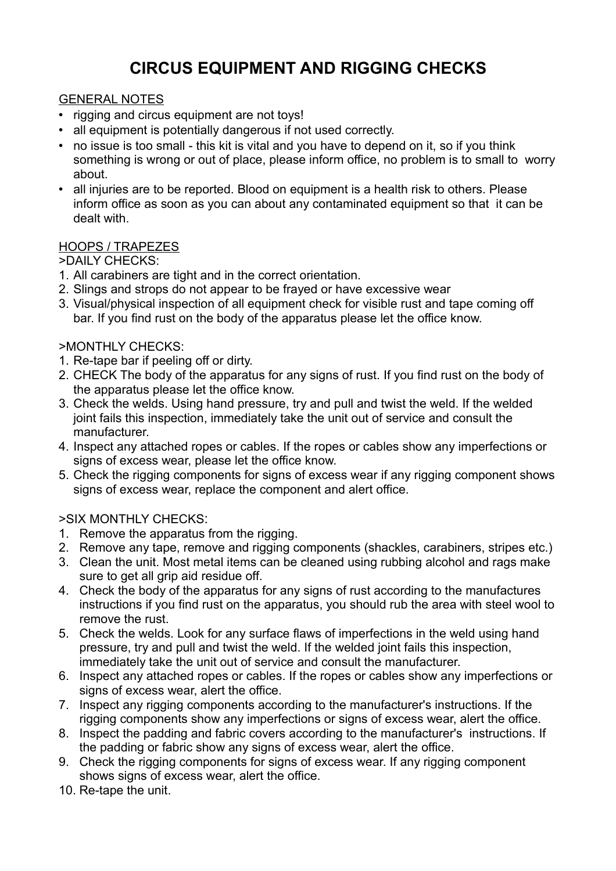# **CIRCUS EQUIPMENT AND RIGGING CHECKS**

# GENERAL NOTES

- rigging and circus equipment are not toys!
- all equipment is potentially dangerous if not used correctly.
- no issue is too small this kit is vital and you have to depend on it, so if you think something is wrong or out of place, please inform office, no problem is to small to worry about.
- all injuries are to be reported. Blood on equipment is a health risk to others. Please inform office as soon as you can about any contaminated equipment so that it can be dealt with.

#### HOOPS / TRAPEZES

>DAILY CHECKS:

- 1. All carabiners are tight and in the correct orientation.
- 2. Slings and strops do not appear to be frayed or have excessive wear
- 3. Visual/physical inspection of all equipment check for visible rust and tape coming off bar. If you find rust on the body of the apparatus please let the office know.

#### >MONTHLY CHECKS:

- 1. Re-tape bar if peeling off or dirty.
- 2. CHECK The body of the apparatus for any signs of rust. If you find rust on the body of the apparatus please let the office know.
- 3. Check the welds. Using hand pressure, try and pull and twist the weld. If the welded joint fails this inspection, immediately take the unit out of service and consult the manufacturer.
- 4. Inspect any attached ropes or cables. If the ropes or cables show any imperfections or signs of excess wear, please let the office know.
- 5. Check the rigging components for signs of excess wear if any rigging component shows signs of excess wear, replace the component and alert office.

# >SIX MONTHLY CHECKS:

- 1. Remove the apparatus from the rigging.
- 2. Remove any tape, remove and rigging components (shackles, carabiners, stripes etc.)
- 3. Clean the unit. Most metal items can be cleaned using rubbing alcohol and rags make sure to get all grip aid residue off.
- 4. Check the body of the apparatus for any signs of rust according to the manufactures instructions if you find rust on the apparatus, you should rub the area with steel wool to remove the rust.
- 5. Check the welds. Look for any surface flaws of imperfections in the weld using hand pressure, try and pull and twist the weld. If the welded joint fails this inspection, immediately take the unit out of service and consult the manufacturer.
- 6. Inspect any attached ropes or cables. If the ropes or cables show any imperfections or signs of excess wear, alert the office.
- 7. Inspect any rigging components according to the manufacturer's instructions. If the rigging components show any imperfections or signs of excess wear, alert the office.
- 8. Inspect the padding and fabric covers according to the manufacturer's instructions. If the padding or fabric show any signs of excess wear, alert the office.
- 9. Check the rigging components for signs of excess wear. If any rigging component shows signs of excess wear, alert the office.
- 10. Re-tape the unit.